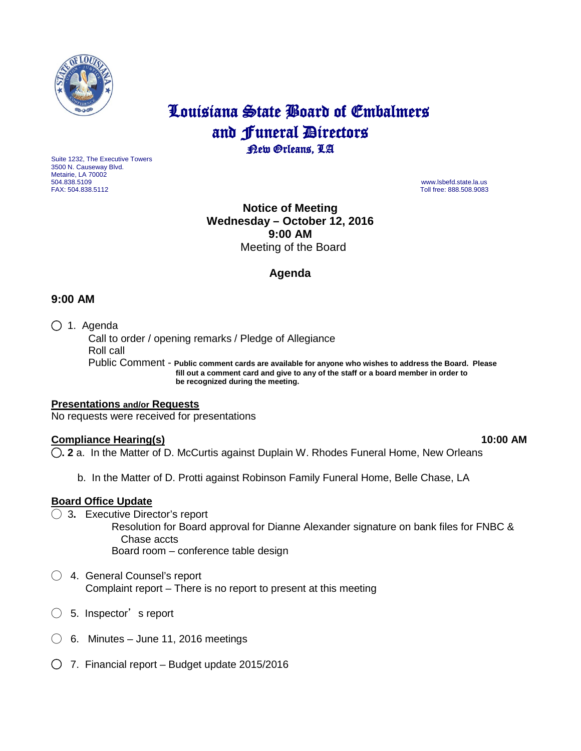

# Louisiana State Board of Embalmers and **Funeral Directors**<br>**Rew Orleans**, LA

Suite 1232, The Executive Towers 3500 N. Causeway Blvd. Metairie, LA 70002 504.838.5109 www.lsbefd.state.la.us

Toll free: 888.508.9083

# **Notice of Meeting Wednesday – October 12, 2016 9:00 AM**  Meeting of the Board

# **Agenda**

## **9:00 AM**

◯ 1. Agenda

 Call to order / opening remarks / Pledge of Allegiance Roll call Public Comment - **Public comment cards are available for anyone who wishes to address the Board. Please**

 **fill out a comment card and give to any of the staff or a board member in order to be recognized during the meeting.**

#### **Presentations and/or Requests** No requests were received for presentations

## **Compliance Hearing(s) 10:00 AM**

◯**. 2** a. In the Matter of D. McCurtis against Duplain W. Rhodes Funeral Home, New Orleans

b. In the Matter of D. Protti against Robinson Family Funeral Home, Belle Chase, LA

## **Board Office Update**

◯ 3**.** Executive Director's report

 Resolution for Board approval for Dianne Alexander signature on bank files for FNBC & Chase accts Board room – conference table design

- ◯ 4. General Counsel's report Complaint report – There is no report to present at this meeting
- $\bigcirc$  5. Inspector's report
- ◯ 6.Minutes June 11, 2016 meetings
- ◯ 7. Financial report Budget update 2015/2016